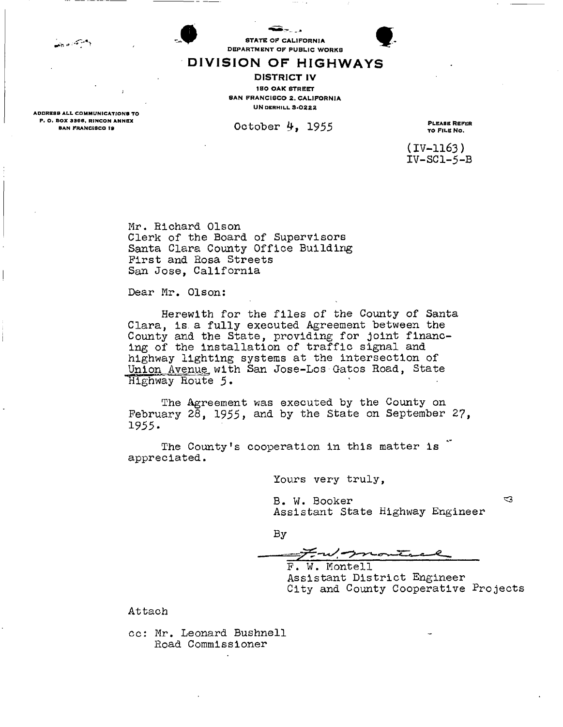فيستعين

ADDRESS ALL COMMUNICATIONS TO

STATE OF CALIFORNIA



#### DEPARTMENT OF PUBLIC WORKS DIVISION OF HIGHWAYS

DISTRICT IV 150 OAK STREET **BAN FRANCISCO 2. CALIFORNIA** UN DERHILL 3-0222

**P. O. SOX 3366, RINCON ANNEX**<br>BAN FRANCISCO IS<br> **BAN FRANCISCO IS** 

**(IV-1163) IV-SC1-5-B** 

**Mr. Richard Olson Clerk of the Board of Supervisors Santa Clara County Office Building First and Rosa Streets San Jose, California** 

**Dear Mr. Olson:** 

**Herewith for the files of the County of Santa Clara, is. a fully executed Agreement between the County and the State, providing for joint financing of the installation of traffic signal and highway lighting systems at the intersection of Union Avenuet with San Jose-Los Gatos Road, State 'Highway Route 5.** 

**The Agreement was executed by the County on February 28, 1955, and by the State on September 27, 1955.** 

**The County's cooperation in this matter is appreciated.** 

**Yours very truly,** 

**B. W. Booker Assistant State Highway Engineer** 

**By** 

Four pro

**F. W. Montell Assistant District Engineer City and County Cooperative Projects** 

**Attach** 

**cc: Mr. Leonard Bushnell Road Commissioner** 

 $\mathbf{C}$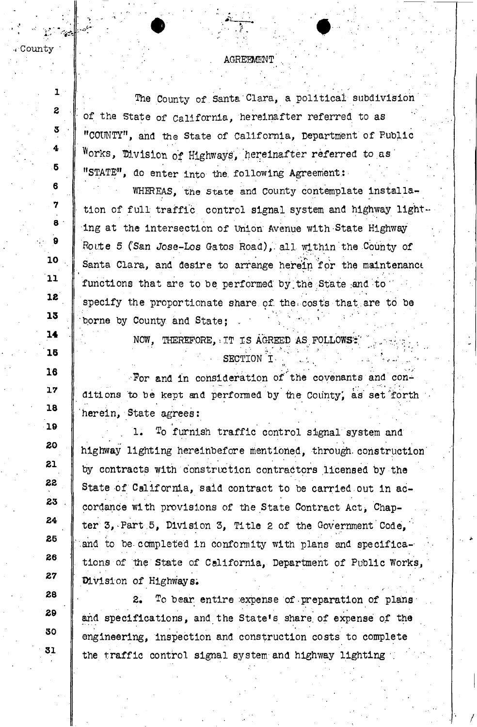. County

 $\mathbf{I}$ 

 $\overline{z}$ 

3

4

6

6

7

8

 $\theta$ 

10

 $11$ 

 $12$ 

13

14

16

16

17

18

19

20

21

22

23

24

25

26

27

28

29

30

31

The County of Santa Clara, a political subdivision of the State of California, hereinafter referred to as "COUNTY", and the State of California, Department of Public Works, Division of Highways, hereinafter referred to as "STATE", do enter into the following Agreement:

WHEREAS, the state and County contemplate installation of full traffic control signal system and highway lighting at the intersection of Union Avenue with State Highway Route 5 (San Jose-Los Gatos Road), all within the County of Santa Clara, and desire to arrange herein for the maintenance functions that are to be performed by the State and to specify the proportionate share of the costs that are to be borne by County and State:

> NOW, THEREFORE, IT IS AGREED AS FOLLOWS: SECTION I

For and in consideration of the covenants and conditions to be kept and performed by the County, as set forth herein, State agrees:

ı. To furnish traffic control signal system and highway lighting hereinbefore mentioned, through construction by contracts with construction contractors licensed by the State of California, said contract to be carried out in accordance with provisions of the State Contract Act, Chapter 3, Part 5, Division 3, Title 2 of the Government Code. and to be completed in conformity with plans and specifications of the State of California, Department of Public Works, Division of Highways.

 $2.1$ To bear entire expense of preparation of plans and specifications, and the State's share of expense of the engineering, inspection and construction costs to complete the traffic control signal system and highway lighting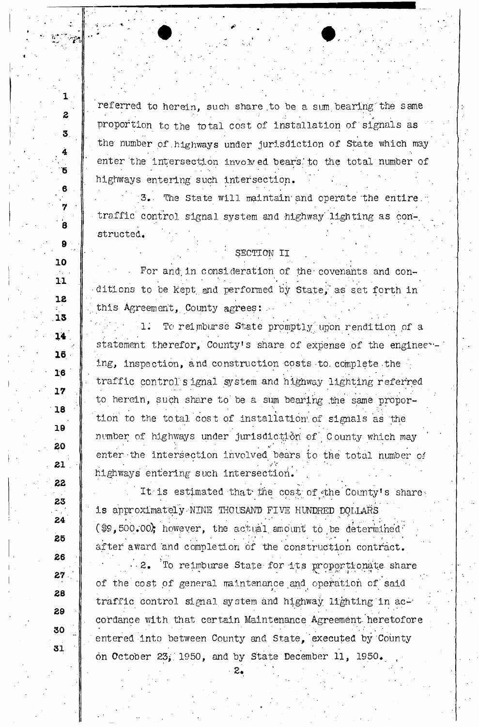referred to herein, such share to be a sum bearing the same proportion to the total cost of installation of signals as the' number of.highways under jurisdiction of State which may enter the intersection involved bears to the total number of highways entering such intersection.

 $\mathcal{B}_{\bullet}$  The State will maintain and operate the entire. traffic control signal system and highway lighting as constructed.

SECTION II

For and in consideration of the covenants and conditions to be kept and performed by State, as set forth in this Agreement, County agrees:

1. To reimburse State promptly upon rendition of a statement therefor, County's share of expense of the engineeying, inspection, and construction costs to complete the traffic control' s ignal *system* and highway lighting referred to herein, such share to be a sum bearing the same propor- ,  $\alpha$  ,  $\beta$  ,  $\beta$  ,  $\beta$  ,  $\beta$  ,  $\beta$  ,  $\beta$  ,  $\beta$  ,  $\beta$  ,  $\beta$  ,  $\beta$  ,  $\beta$  ,  $\beta$  ,  $\beta$  ,  $\beta$  ,  $\beta$  ,  $\beta$  ,  $\beta$  ,  $\beta$  ,  $\beta$  ,  $\beta$  ,  $\beta$  ,  $\beta$  ,  $\beta$  ,  $\beta$  ,  $\beta$  ,  $\beta$  ,  $\beta$  ,  $\beta$  ,  $\beta$  ,  $\beta$  ,  $\$ tion to the total cost of installation of signals as the number of highways under jurisdiction of C ounty which may enter the intersection involved bears to the total number *oi*  highways entering such intersection.

It is estimated that the cost of the County's share is approximately-NINE TI-IOUSAI*W* FIVE HUNDRED DOLLARS (\$9,500.00); however, the actual amount to be determined  $\ddot{\phantom{a}}$  $\bullet$  . In the set of the set of the set of the set of the set of the set of the set of the set of the set of the set of the set of the set of the set of the set of the set of the set of the set of the set of the set of th after award and completion of the construction contract.

2. To reimburse State for its proportionate share of the cost of general maintenance and operation of said traffic control signal system and highway lighting in accordance with that certain Maintenance Agreement-heretofore entered into between County and State, executed by County on October 23; 1950, and by State December 11, 1950.<br> $2.$ 

**16** 

**16** 

**17** 

18

19

17

**18** 

**19** 

20

21

20

 $222$ 

23

24

25

22

**23** 

26

26

**27** 

**28** 

29

30

31

**30** 

**31** 

**1** 

*z* 

**3** 

**4** 

**5** 

6

**7** 

 $\mathbf{\dot{a}}$ 

**9** 

 $\mathbf{9}$ 

**10** 

**11**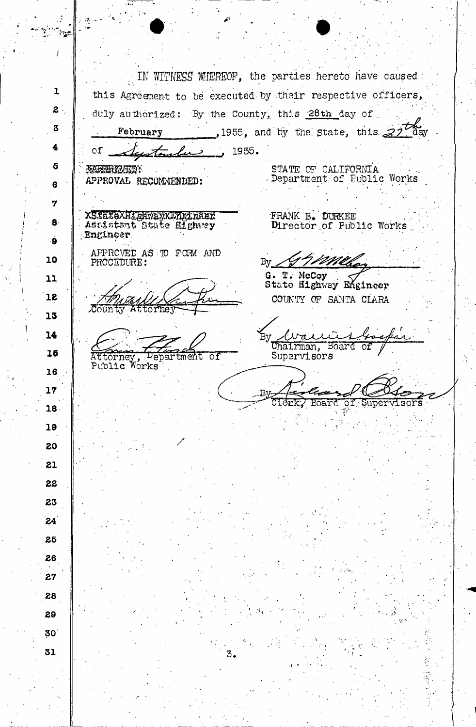*.1*  IN WITNESS WHEREOF, the parties hereto have caused **1**  this Agreement to be executed by their respective officers, **2**  duly authorized: By the County, this  $28th$  day of. **3**  February ,1955, and by the state, this  $22\sqrt{3}$  ay **4**  of  $\tau$   $\tau$   $\sim$  1955. **5 MARRINGVILD:** STATE OF CALIFORNIA Department of Public Works APPROVAL RECOMMENDED: **6 7**  XSHAKANIGHWAYXLINGINGEK<br>Assistant State Highwey<br>Engineer FRANK B. DURKEE **8**  Director of Public Works **9**  APPROVED AS TO FCFM AND **10**  moi PROCEDURE: **By.**  G. T. McCoy **11**  State Highway Engineer **12**  COUNTY OF SANTA CLARA County Attorne **13 14**   $\pi$   $\lambda$ Chairman, Board of **15**  Supervisors Attorney, Pepartment of Public Works **16 17**  C1 Ark Board of Supervisors **18 19 20 21**  22 **23 24**  26 **26 27 28 29 30 31** 

P.

يبيها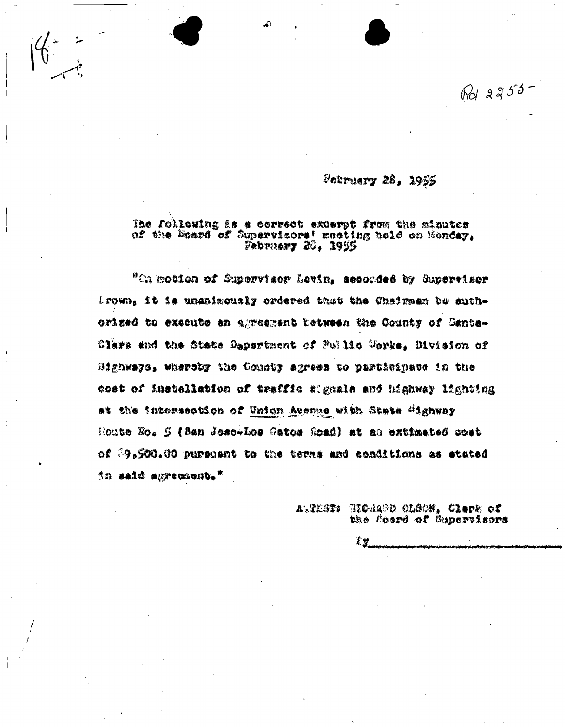$Rd$  2255-

# Petruary 28, 1955

#### The following is a correct excerpt from the minutes of the Board of Supervicors' meeting held on Honday, February 20, 1955

"On motion of Supervisor Levin, seconded by Supervisor Lrown, it is unanimously ordered that the Chairman be authorized to excente an agreement tetween the County of Santa-Clars and the State Dapartment of Fullio Werks. Division of Highways, whereby the County agrees to participate in the cost of installation of traffic signals and highway lighting at the intersection of Union Avenue with State "ighway Route No. 5 (San Jose-Los Gatos Road) at an extimated cost of 39,500.00 pursuent to the terms and conditions as etated in said aprecount."

> Atvist: Richard Olson, Clape of the Sourd of Supervisors

> > É V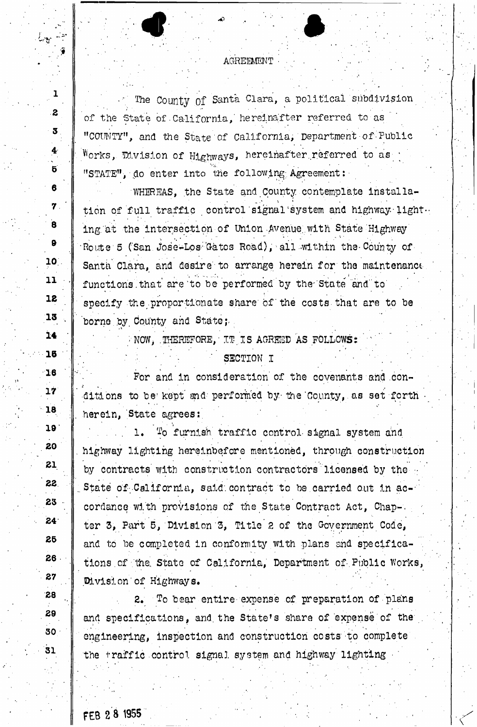## AGREEMENT

The County of Santa Clara, a political subdivision of the State of California, hereinafter referred to as "COUNTY", and the State of California, Department of'Public Works, Division of Highways, hereinafter referred to as "STATE", do enter into the following Agreement:

WHEREAS, the State and County contemplate installa-V » . tion of full traffic control signal system and highway light. ing at the intersection of Union Avenue with State Highway Route 5 (San Jose-Los Gatos Road), all within the County of Santa Clara, and desire to arrange herein for the maintenance functions that are to be performed by the State and to specify the proportionate share of the costs that are to be borne by County and State;

> *•* ^ • 1 • ' - NOW, .THEREFORE,\* XT IS AGREED AS FOLLOWS: -

/. : ' SECTION I \* • For and in consideration' of the covenants and .conditions to be kept and performed by the County, as set forth herein. State agrees: . here a state agrees:

1. To furnish traffic control signal system and<br>highway lighting hereinbefore mentioned, through construction  $\mathbf{1}$ . , highereinbefore mentioned, through construction  $\mathcal{L}_\text{in}$  , through constructioned, through construction by contracts in the construction contract of the contract of the contractors  $\theta$ ..State oT:.California, said.contract to be carried o.ut in accordance with provisions of the State Contract Act, Chap-, ter 3, Part 5, Division'3, Title's of the Government Code, and to be completed in conformity with plans and specifications of the State of California, Department of Public Works, .Division'of Highways.

 $2.1$ To bear entire expense of preparation of plans and specifications, and the State's share of expense of the engineering, inspection and construction costs to complete the traffic control signal system and highway lighting -

FEB 2 8 1955

 $\sim$   $\sim$ 

 $\mathbf{I}$ 

 $\mathbf{z}$ 

3

4

 $\overline{5}$ 

6

 $\mathbf 7$ .

8

 $\bullet$ 

10.

 $11$ 

12

13

 $14$ 

16

 $16$ 

 $17$ 

 $18$ 

19

20

21

22

23

 $24<sup>1</sup>$ 

25

26

27

 $28$ 

29

30

31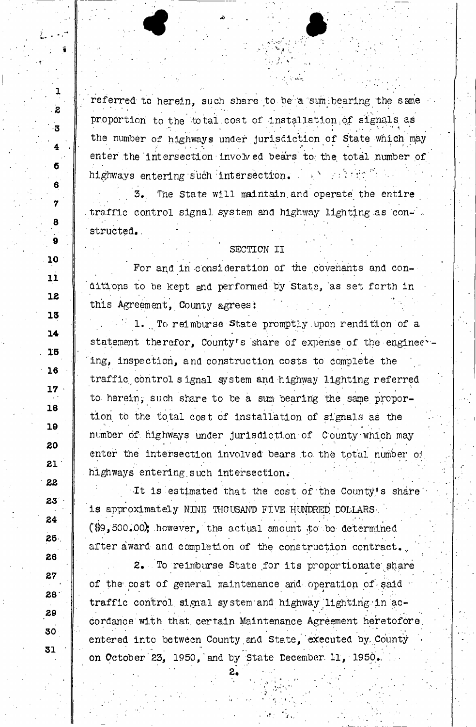referred to herein, such share to be a sum bearing the same proportion to the total cost of installation of signals as the number of highways under jurisdiction of State which may enter the intersection involved bears to the total number of highways entering such intersection.  $\cdots$  , we refer to

. The contract of the contract of the contract of the contract of the contract of the contract of the contract of the contract of the contract of the contract of the contract of the contract of the contract of the contrac

The State will maintain and operate the entire .traffic control signal system and highway lighting as con-'. structed.

# SECTION II

, « \* >

For and in consideration of the covenants and conditions to be kept and performed by State, as set forth in this Agreement, County agrees':

 $\mathbb{P}$  1. To reimburse State promptly upon rendition of a statement therefor, County's share of expense of the engineer-. ing, inspection, and construction costs to complete the traffic, control s ignal gystem and highway lighting referred to. herein, such share to be a sum bearing the same proportion to the total cost of installation of signals as the . number of,highways under jurisdiction of County-which may enter the intersection involved bears to the total number of highways entering such intersection.

It is estimated that the cost of the County's share is approximately NINE THOUSAND FIVE. HUNDRED DOLLARS'. • C\$9, 500.00)j .however, the actual amount to be determined after award and completion of the construction contract.

2. To reimburse State for its proportionate share of the cost of general maintenance and operation of said traffic control signal system and highway lighting in accordance with that, certain Maintenance Agreement heretofore, entered into between County and State, executed by County on October 23, 1950, and by State December 11, 1950.

**31** 

" . •

1

**2** 

**3** 

**4**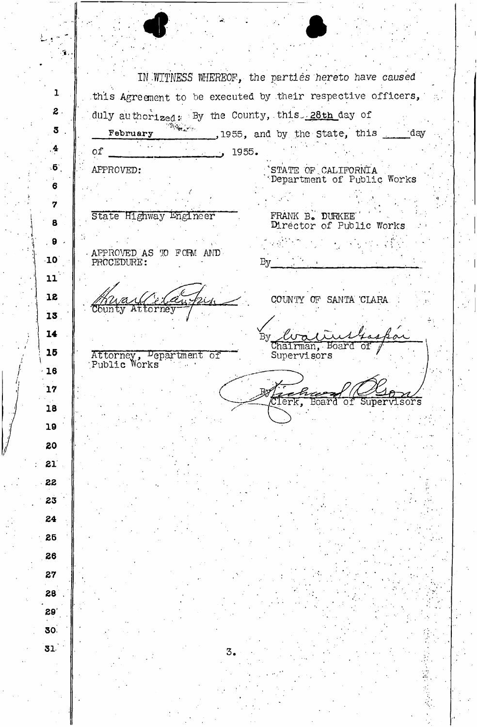$\blacklozenge$  $\hat{\mathbf{T}}$  . IN *-WITNESS WHEREOF', the parties hereto have caused '*  1 this Agreement to be executed by their respective officers,  $\sim$ **2**  duly authorized: By the County, this... 28th day of **February** 1955, and by the State, this day 3 **4**  of  $\blacksquare$  1955. .6 APPROVED: STATE OF CALIFORNIA Department of Public Works **6 7**  State Highway Engineer FRANK B. DURKEE 8 Director of Public Works **9**  APPROVED'AS TO FGFM AND' **10**  PROCEDURE: By 11 IS COUNTY OF SANTA CLARA نصم .<br>2Uh **C**ounty  $\overline{\mathbf{A}}$ torne: **13 14**  :lis By ⊿ 73 Chairman, Board of **15**  Supervisors Attorney, Department of Public Works - • • • • 16 **17**  Clerk, Board оf Super visors **18 19**  £0 21 22 **23 24 25 26 27 28 29' 30 31**  3. ÷,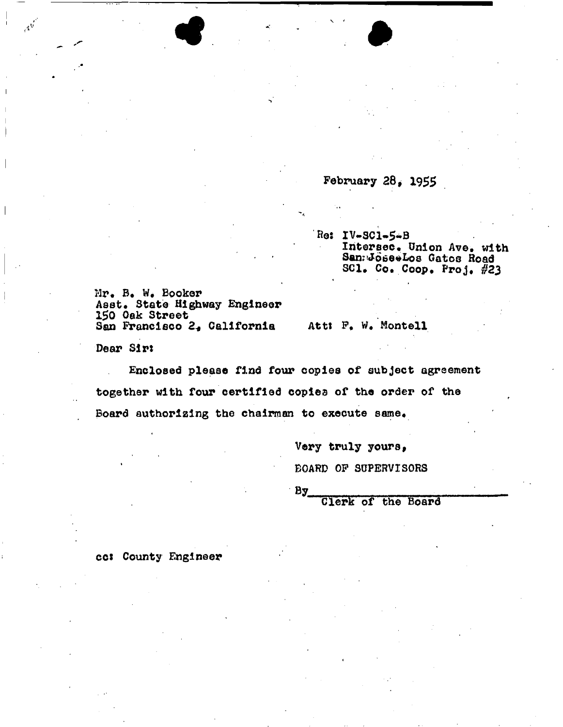February  $28, 1955$ 

**Hos IV«.SC1~5\*B Intersec\* Union Ave. with San?tJo<5e#Lo8 Gatos Hoad**  SC1. Co. Coop. Proj. #23

**Mr# B. Booker**  Asst. State Highway Engineer 150 Oak Street<br>San Francisco 2, California

Att: F. W. Montell

together with four certified copies of the order of the Board authorizing the chairman to execute same.

**San Francisco 2« California Attt F. W. Montell** 

**Board authorizing the chairman to execute same\*** 

 $\bullet$  and  $\bullet$ 

**Very truly yours, BOARD OP SUPERVISORS** 

 $By$ 

**Clerk of the Board** 

**cc\* County Engineer**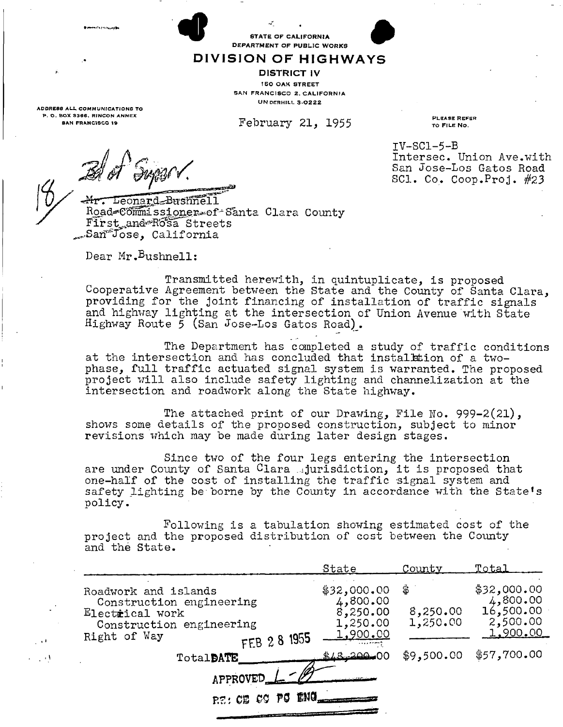**EXAMPLE OF CALIFORNIA**<br>**DEPARTMENT OF PUBLIC WORKS** 

### DIVISION OF HIGHWAYS

DISTRICT IV 150 OAK STREET SAN FRANCISCO 2. CALIFORNIA UN DERHILL 3-0222

**February 21, 1955** 

PLEASE REFER TO FILE NO.

Intersec. Union Ave.with **San Jose-Los Gatos Road SCI. Co. Coop.Proj. #23** 

IV-SC1-5-B

ADDRESS AL L *COMMUNICATIONS* TO P. O. BOX 3366, RINCON ANNEX SAN FRANCISCO IB

., . .

والمستفاد والمتاه

Mr. Leonard Bushnell Road=Commissioner=of<sup>2</sup>Santa Clara County **First^and^R'osa^Streets ^SarTvTose, California** 

Dear Mr.<sup>B</sup>ushnell:

**Transmitted herewith, in quintuplicate, is proposed Cooperative Agreement between the State and the County of Santa Clara, providing for the joint financing of installation of traffic signals and highway lighting at the intersection of Union Avenue with State Highway Route 5 (San Jose-Los Gatos Road).** 

**The Department has completed a study of traffic conditions at the intersection and has concluded that installation of a twophase, full traffic actuated signal system is warranted. The proposed project will also include safety lighting and channelization at the intersection and roadwork along the State highway.** 

**The attached print of our Drawing, File I\fo.** 999-2(21), **shows some details of the proposed construction, subject to minor revisions which may be made during later design stages.** 

**Since two of the four legs entering the intersection**  are under County of Santa Clara ...jurisdiction, it is proposed that **one-half of the cost of installing the traffic signal system and safety lighting be borne by the County in accordance with the State<sup>1</sup>s policy.** 

**Following is a tabulation showing estimated cost of the project and the proposed distribution of cost between the County and the State.** 

|                                                                                                                                 | State                                                                            | County                     | Total                                                        |
|---------------------------------------------------------------------------------------------------------------------------------|----------------------------------------------------------------------------------|----------------------------|--------------------------------------------------------------|
| Roadwork and islands<br>Construction engineering<br>Electrical work<br>Construction engineering<br>Right of Way<br>FEB 2 8 1955 | \$32,000.00<br>4,800.00<br>8,250.00<br>1,250.00<br>1,900.00<br><b>STATISTICS</b> | \$<br>8,250.00<br>1,250.00 | \$32,000.00<br>4,800.00<br>16,500.00<br>2,500.00<br>1,900.00 |
| TotalDATE                                                                                                                       | $818 - 200 - 00$                                                                 | \$9,500.00                 | \$57,700.00                                                  |
| APPROVED_L<br>RE: CE CG PC ENG_<br>the property of the property of the contract of the contract of                              |                                                                                  |                            |                                                              |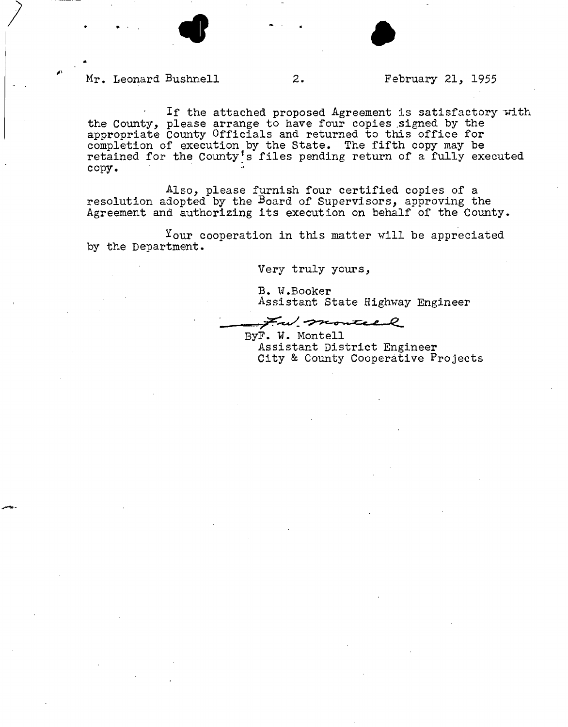



#### **Mr. Leonard Bushnell 2. February 21, 1955**

If the attached proposed Agreement is satisfactory with **the County, please arrange to have four copies .signed by the appropriate County Officials and returned to this office for completion of execution by the State. The fifth copy may be retained for the County's files pending return of a fully executed copy.** 

**Also, please furnish four certified copies of a resolution adopted by the Board of Supervisors, approving the Agreement and authorizing its execution on behalf of the County.** 

<sup>Y</sup>our cooperation in this matter will be appreciated **by the Department.** 

**Very truly yours,** 

**B. W.Booker Assistant State Highway Engineer** 

, *' ^ •^^-^r^fZe^e*—J

**ByF. W. Montell Assistant District Engineer City & County Cooperative Projects**